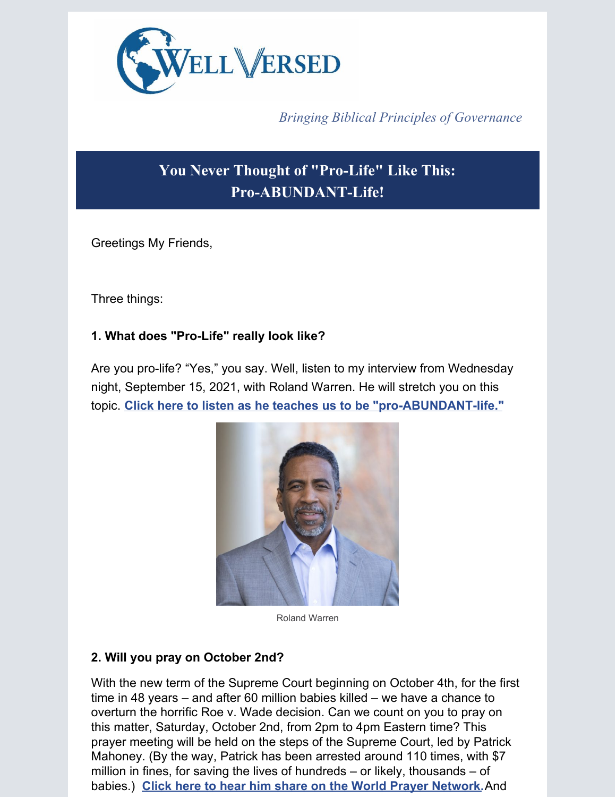

*Bringing Biblical Principles of Governance*

# **You Never Thought of "Pro-Life" Like This: Pro-ABUNDANT-Life!**

Greetings My Friends,

Three things:

# **1. What does "Pro-Life" really look like?**

Are you pro-life? "Yes," you say. Well, listen to my interview from Wednesday night, September 15, 2021, with Roland Warren. He will stretch you on this topic. **Click here to listen as he teaches us to be ["pro-ABUNDANT-life."](https://app.videosquirrel.app/watch/2030)**



Roland Warren

## **2. Will you pray on October 2nd?**

With the new term of the Supreme Court beginning on October 4th, for the first time in 48 years – and after 60 million babies killed – we have a chance to overturn the horrific Roe v. Wade decision. Can we count on you to pray on this matter, Saturday, October 2nd, from 2pm to 4pm Eastern time? This prayer meeting will be held on the steps of the Supreme Court, led by Patrick Mahoney. (By the way, Patrick has been arrested around 110 times, with \$7 million in fines, for saving the lives of hundreds – or likely, thousands – of babies.) **Click here to hear him share on the World Prayer [Network.](https://app.videosquirrel.app/watch/2031)**And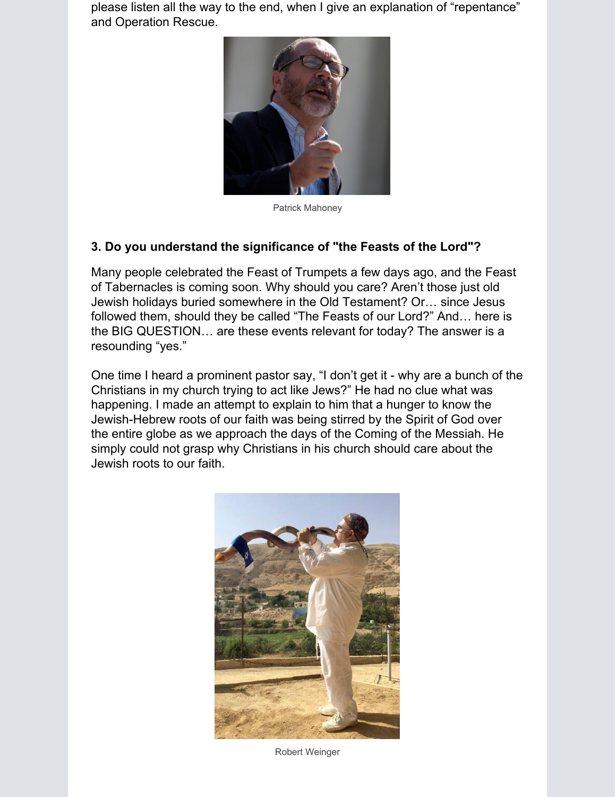please listen all the way to the end, when I give an explanation of "repentance" and Operation Rescue.



Patrick Mahoney

#### **3. Do you understand the significance of "the Feasts of the Lord"?**

Many people celebrated the Feast of Trumpets a few days ago, and the Feast of Tabernacles is coming soon. Why should you care? Aren't those just old Jewish holidays buried somewhere in the Old Testament? Or… since Jesus followed them, should they be called "The Feasts of our Lord?" And… here is the BIG QUESTION… are these events relevant for today? The answer is a resounding "yes."

One time I heard a prominent pastor say, "I don't get it - why are a bunch of the Christians in my church trying to act like Jews?" He had no clue what was happening. I made an attempt to explain to him that a hunger to know the Jewish-Hebrew roots of our faith was being stirred by the Spirit of God over the entire globe as we approach the days of the Coming of the Messiah. He simply could not grasp why Christians in his church should care about the Jewish roots to our faith.



Robert Weinger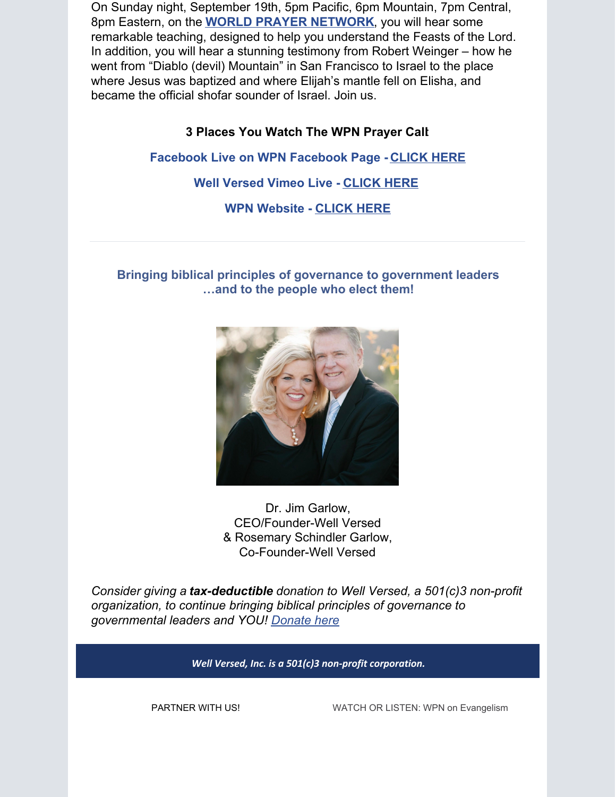On Sunday night, September 19th, 5pm Pacific, 6pm Mountain, 7pm Central, 8pm Eastern, on the **WORLD PRAYER [NETWORK](https://worldprayernetwork.org/)**, you will hear some remarkable teaching, designed to help you understand the Feasts of the Lord. In addition, you will hear a stunning testimony from Robert Weinger – how he went from "Diablo (devil) Mountain" in San Francisco to Israel to the place where Jesus was baptized and where Elijah's mantle fell on Elisha, and became the official shofar sounder of Israel. Join us.

#### **3 Places You Watch The WPN Prayer Call**:

**Facebook Live on WPN Facebook Page - [CLICK](https://www.facebook.com/WorldPrayerNetwork.org) HERE**

**Well Versed Vimeo Live - [CLICK](https://vimeo.com/606184915) HERE**

**WPN Website - [CLICK](https://worldprayernetwork.org/) HERE**

### **Bringing biblical principles of governance to government leaders …and to the people who elect them!**



Dr. Jim Garlow, CEO/Founder-Well Versed & Rosemary Schindler Garlow, Co-Founder-Well Versed

*Consider giving a tax-deductible donation to Well Versed, a 501(c)3 non-profit organization, to continue bringing biblical principles of governance to governmental leaders and YOU! [Donate](https://www.wellversedworld.org/donate/) here*

*Well Versed, Inc. is a 501(c)3 non-profit corporation.*

PARTNER WITH US! WATCH OR LISTEN: WPN on Evangelism